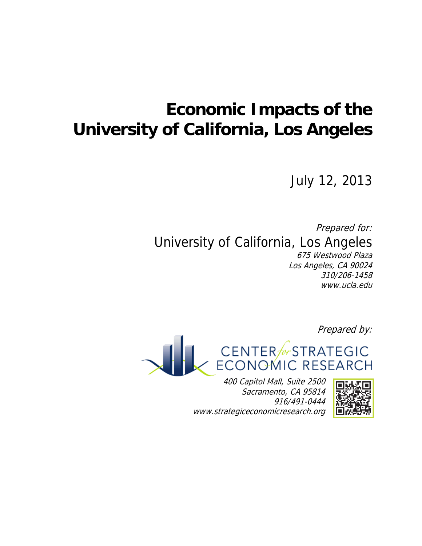# **Economic Impacts of the University of California, Los Angeles**

July 12, 2013

Prepared for: University of California, Los Angeles 675 Westwood Plaza Los Angeles, CA 90024 310/206-1458 www.ucla.edu

Prepared by:



400 Capitol Mall, Suite 2500 Sacramento, CA 95814 916/491-0444 www.strategiceconomicresearch.org

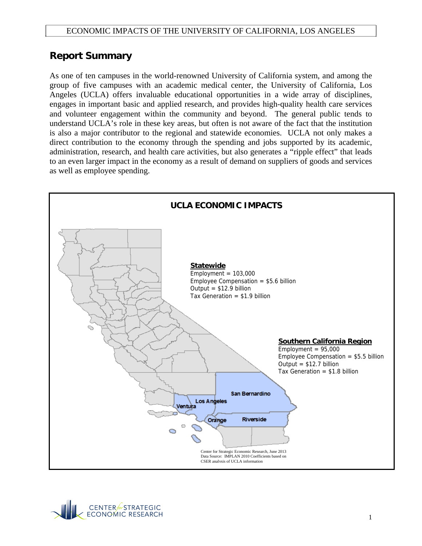## **Report Summary**

As one of ten campuses in the world-renowned University of California system, and among the group of five campuses with an academic medical center, the University of California, Los Angeles (UCLA) offers invaluable educational opportunities in a wide array of disciplines, engages in important basic and applied research, and provides high-quality health care services and volunteer engagement within the community and beyond. The general public tends to understand UCLA's role in these key areas, but often is not aware of the fact that the institution is also a major contributor to the regional and statewide economies. UCLA not only makes a direct contribution to the economy through the spending and jobs supported by its academic, administration, research, and health care activities, but also generates a "ripple effect" that leads to an even larger impact in the economy as a result of demand on suppliers of goods and services as well as employee spending.



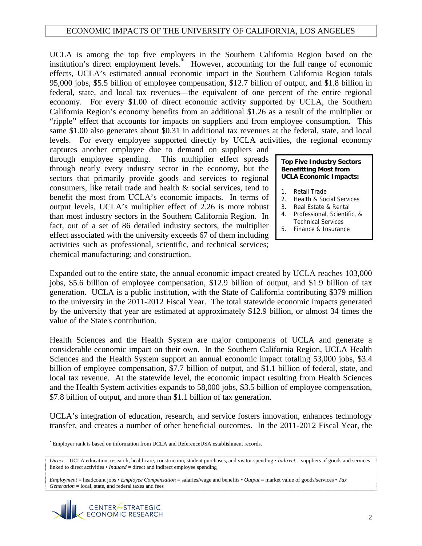UCLA is among the top five employers in the Southern California Region based on the institution's direct employment levels.[\\*](#page-2-0) However, accounting for the full range of economic effects, UCLA's estimated annual economic impact in the Southern California Region totals 95,000 jobs, \$5.5 billion of employee compensation, \$12.7 billion of output, and \$1.8 billion in federal, state, and local tax revenues—the equivalent of one percent of the entire regional economy. For every \$1.00 of direct economic activity supported by UCLA, the Southern California Region's economy benefits from an additional \$1.26 as a result of the multiplier or "ripple" effect that accounts for impacts on suppliers and from employee consumption. This same \$1.00 also generates about \$0.31 in additional tax revenues at the federal, state, and local levels. For every employee supported directly by UCLA activities, the regional economy

captures another employee due to demand on suppliers and through employee spending. This multiplier effect spreads through nearly every industry sector in the economy, but the sectors that primarily provide goods and services to regional consumers, like retail trade and health & social services, tend to benefit the most from UCLA's economic impacts. In terms of output levels, UCLA's multiplier effect of 2.26 is more robust than most industry sectors in the Southern California Region. In fact, out of a set of 86 detailed industry sectors, the multiplier effect associated with the university exceeds 67 of them including activities such as professional, scientific, and technical services; chemical manu facturing; and construction.

**Top Five Industry Sectors Benefitting Most from UCLA Economic Impacts:** 

- 1. Retail Trade
- 2. Health & Social Services
- 3. Real Estate & Rental
- 4. Professional, Scientific, & Technical Services
- 5. Finance & Insurance

Expanded out to the entire state, the annual economic impact created by UCLA reaches 103,000 jobs, \$5.6 billion of employee compensation, \$12.9 billion of output, and \$1.9 billion of tax generation. UCLA is a public institution, with the State of California contributing \$379 million to the university in the 2011-2012 Fiscal Year. The total statewide economic impacts generated by the university that year are estimated at approximately \$12.9 billion, or almost 34 times the value of the State's contribution.

Health Sciences and the Health System are major components of UCLA and generate a considerable economic impact on their own. In the Southern California Region, UCLA Health Sciences and the Health System support an annual economic impact totaling 53,000 jobs, \$3.4 billion of employee compensation, \$7.7 billion of output, and \$1.1 billion of federal, state, and local tax revenue. At the statewide level, the economic impact resulting from Health Sciences and the Health System activities expands to 58,000 jobs, \$3.5 billion of employee compensation, \$7.8 billion of output, and more than \$1.1 billion of tax generation.

UCLA's integration of education, research, and service fosters innovation, enhances technology transfer, and creates a number of other beneficial outcomes. In the 2011-2012 Fiscal Year, the

*Employment* = headcount jobs • *Employee Compensation* = salaries/wage and benefits • *Output* = market value of goods/services • *Tax Generation* = local, state, and federal taxes and fees



<span id="page-2-0"></span> $\overline{a}$ \* Employer rank is based on information from UCLA and ReferenceUSA establishment records.

*Direct* = UCLA education, research, healthcare, construction, student purchases, and visitor spending • *Indirect* = suppliers of goods and services linked to direct activities • *Induced* = direct and indirect employee spending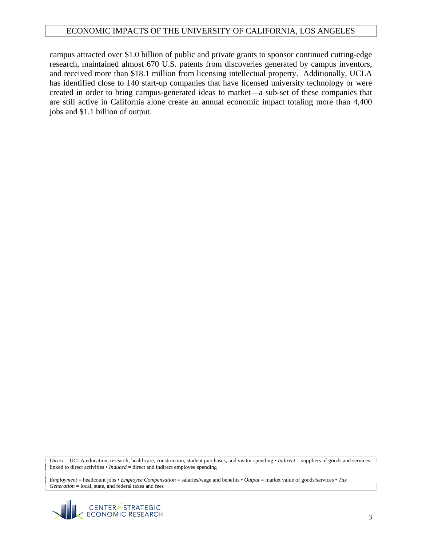campus attracted over \$1.0 billion of public and private grants to sponsor continued cutting-edge research, maintained almost 670 U.S. patents from discoveries generated by campus inventors, and received more than \$18.1 million from licensing intellectual property. Additionally, UCLA has identified close to 140 start-up companies that have licensed university technology or were created in order to bring campus-generated ideas to market—a sub-set of these companies that are still active in California alone create an annual economic impact totaling more than 4,400 jobs and \$1.1 billion of output.

*Direct* = UCLA education, research, healthcare, construction, student purchases, and visitor spending • *Indirect* = suppliers of goods and services linked to direct activities • *Induced* = direct and indirect employee spending

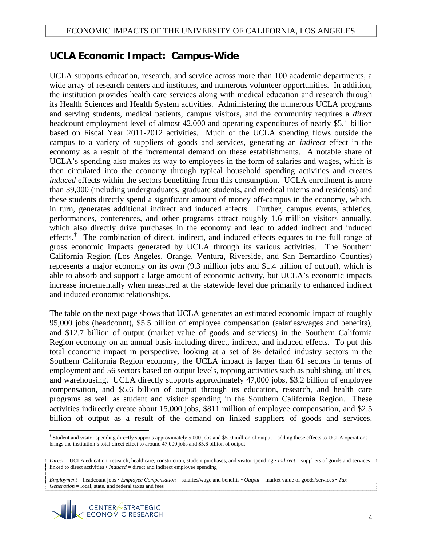## **UCLA Economic Impact: Campus-Wide**

UCLA supports education, research, and service across more than 100 academic departments, a wide array of research centers and institutes, and numerous volunteer opportunities. In addition, the institution provides health care services along with medical education and research through its Health Sciences and Health System activities. Administering the numerous UCLA programs and serving students, medical patients, campus visitors, and the community requires a *direct* headcount employment level of almost 42,000 and operating expenditures of nearly \$5.1 billion based on Fiscal Year 2011-2012 activities. Much of the UCLA spending flows outside the campus to a variety of suppliers of goods and services, generating an *indirect* effect in the economy as a result of the incremental demand on these establishments. A notable share of UCLA's spending also makes its way to employees in the form of salaries and wages, which is then circulated into the economy through typical household spending activities and creates *induced* effects within the sectors benefitting from this consumption. UCLA enrollment is more than 39,000 (including undergraduates, graduate students, and medical interns and residents) and these students directly spend a significant amount of money off-campus in the economy, which, in turn, generates additional indirect and induced effects. Further, campus events, athletics, performances, conferences, and other programs attract roughly 1.6 million visitors annually, which also directly drive purchases in the economy and lead to added indirect and induced effects.<sup>[†](#page-4-0)</sup> The combination of direct, indirect, and induced effects equates to the full range of gross economic impacts generated by UCLA through its various activities. The Southern California Region (Los Angeles, Orange, Ventura, Riverside, and San Bernardino Counties) represents a major economy on its own (9.3 million jobs and \$1.4 trillion of output), which is able to absorb and support a large amount of economic activity, but UCLA's economic impacts increase incrementally when measured at the statewide level due primarily to enhanced indirect and induced economic relationships.

The table on the next page shows that UCLA generates an estimated economic impact of roughly 95,000 jobs (headcount), \$5.5 billion of employee compensation (salaries/wages and benefits), and \$12.7 billion of output (market value of goods and services) in the Southern California Region economy on an annual basis including direct, indirect, and induced effects. To put this total economic impact in perspective, looking at a set of 86 detailed industry sectors in the Southern California Region economy, the UCLA impact is larger than 61 sectors in terms of employment and 56 sectors based on output levels, topping activities such as publishing, utilities, and warehousing. UCLA directly supports approximately 47,000 jobs, \$3.2 billion of employee compensation, and \$5.6 billion of output through its education, research, and health care programs as well as student and visitor spending in the Southern California Region. These activities indirectly create about 15,000 jobs, \$811 million of employee compensation, and \$2.5 billion of output as a result of the demand on linked suppliers of goods and services.

*Employment* = headcount jobs • *Employee Compensation* = salaries/wage and benefits • *Output* = market value of goods/services • *Tax Generation* = local, state, and federal taxes and fees



 $\overline{a}$ 

<span id="page-4-0"></span><sup>†</sup> Student and visitor spending directly supports approximately 5,000 jobs and \$500 million of output—adding these effects to UCLA operations brings the institution's total direct effect to around 47,000 jobs and \$5.6 billion of output.

*Direct* = UCLA education, research, healthcare, construction, student purchases, and visitor spending • *Indirect* = suppliers of goods and services linked to direct activities • *Induced* = direct and indirect employee spending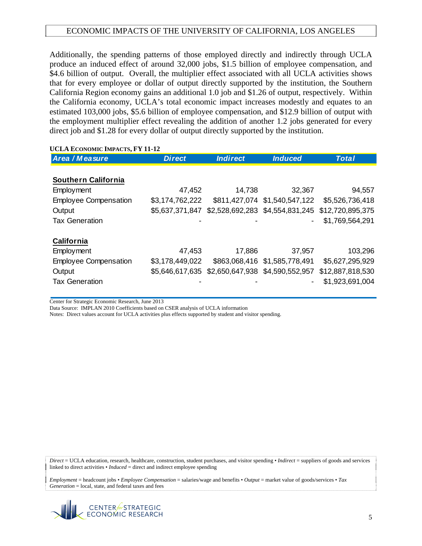Additionally, the spending patterns of those employed directly and indirectly through UCLA produce an induced effect of around 32,000 jobs, \$1.5 billion of employee compensation, and \$4.6 billion of output. Overall, the multiplier effect associated with all UCLA activities shows that for every employee or dollar of output directly supported by the institution, the Southern California Region economy gains an additional 1.0 job and \$1.26 of output, respectively. Within the California economy, UCLA's total economic impact increases modestly and equates to an estimated 103,000 jobs, \$5.6 billion of employee compensation, and \$12.9 billion of output with the employment multiplier effect revealing the addition of another 1.2 jobs generated for every direct job and \$1.28 for every dollar of output directly supported by the institution.

#### **UCLA ECONOMIC IMPACTS, FY 11-12**

| Area / Measure               | <b>Direct</b>   | <b>Indirect</b> | <b>Induced</b>                  | <b>Total</b>     |
|------------------------------|-----------------|-----------------|---------------------------------|------------------|
|                              |                 |                 |                                 |                  |
| <b>Southern California</b>   |                 |                 |                                 |                  |
| Employment                   | 47,452          | 14,738          | 32,367                          | 94,557           |
| <b>Employee Compensation</b> | \$3,174,762,222 |                 | \$811,427,074 \$1,540,547,122   | \$5,526,736,418  |
| Output                       | \$5,637,371,847 |                 | \$2,528,692,283 \$4,554,831,245 | \$12,720,895,375 |
| <b>Tax Generation</b>        |                 |                 | $\qquad \qquad \blacksquare$    | \$1,769,564,291  |
|                              |                 |                 |                                 |                  |
| <b>California</b>            |                 |                 |                                 |                  |
| Employment                   | 47,453          | 17,886          | 37,957                          | 103,296          |
| <b>Employee Compensation</b> | \$3,178,449,022 |                 | \$863,068,416 \$1,585,778,491   | \$5,627,295,929  |
| Output                       | \$5,646,617,635 | \$2,650,647,938 | \$4,590,552,957                 | \$12,887,818,530 |
| <b>Tax Generation</b>        |                 |                 |                                 | \$1,923,691,004  |

Center for Strategic Economic Research, June 2013

Data Source: IMPLAN 2010 Coefficients based on CSER analysis of UCLA information

Notes: Direct values account for UCLA activities plus effects supported by student and visitor spending.

*Direct* = UCLA education, research, healthcare, construction, student purchases, and visitor spending • *Indirect* = suppliers of goods and services linked to direct activities • *Induced* = direct and indirect employee spending

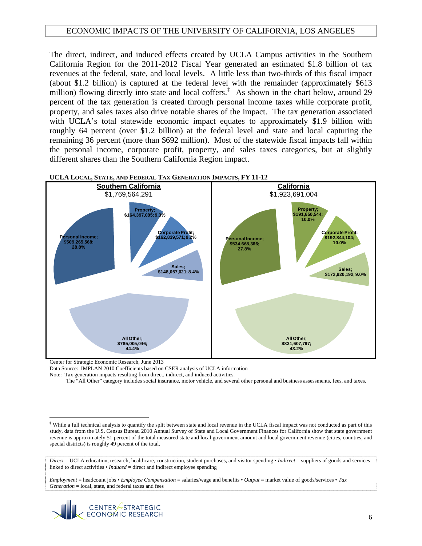The direct, indirect, and induced effects created by UCLA Campus activities in the Southern California Region for the 2011-2012 Fiscal Year generated an estimated \$1.8 billion of tax revenues at the federal, state, and local levels. A little less than two-thirds of this fiscal impact (about \$1.2 billion) is captured at the federal level with the remainder (approximately \$613 million) flowing directly into state and local coffers.<sup> $\ddagger$ </sup> As shown in the chart below, around 29 percent of the tax generation is created through personal income taxes while corporate profit, property, and sales taxes also drive notable shares of the impact. The tax generation associated with UCLA's total statewide economic impact equates to approximately \$1.9 billion with roughly 64 percent (over \$1.2 billion) at the federal level and state and local capturing the remaining 36 percent (more than \$692 million). Most of the statewide fiscal impacts fall within the personal income, corporate profit, property, and sales taxes categories, but at slightly different shares than the Southern California Region impact.



**UCLA LOCAL, STATE, AND FEDERAL TAX GENERATION IMPACTS, FY 11-12** 

Center for Strategic Economic Research, June 2013

1

Data Source: IMPLAN 2010 Coefficients based on CSER analysis of UCLA information

Note: Tax generation impacts resulting from direct, indirect, and induced activities.

The "All Other" category includes social insurance, motor vehicle, and several other personal and business assessments, fees, and taxes.



<span id="page-6-0"></span><sup>‡</sup> While a full technical analysis to quantify the split between state and local revenue in the UCLA fiscal impact was not conducted as part of this study, data from the U.S. Census Bureau 2010 Annual Survey of State and Local Government Finances for California show that state government revenue is approximately 51 percent of the total measured state and local government amount and local government revenue (cities, counties, and special districts) is roughly 49 percent of the total.

*Direct* = UCLA education, research, healthcare, construction, student purchases, and visitor spending • *Indirect* = suppliers of goods and services linked to direct activities • *Induced* = direct and indirect employee spending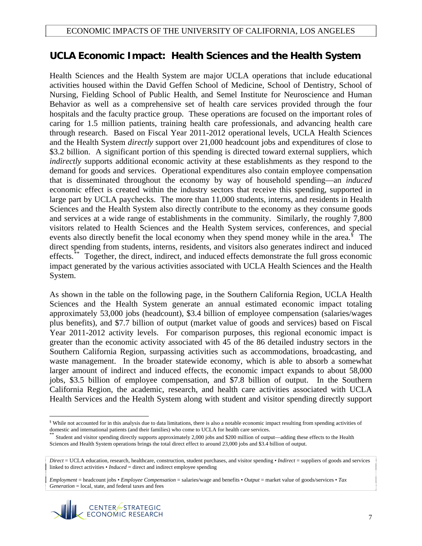# **UCLA Economic Impact: Health Sciences and the Health System**

Health Sciences and the Health System are major UCLA operations that include educational activities housed within the David Geffen School of Medicine, School of Dentistry, School of Nursing, Fielding School of Public Health, and Semel Institute for Neuroscience and Human Behavior as well as a comprehensive set of health care services provided through the four hospitals and the faculty practice group. These operations are focused on the important roles of caring for 1.5 million patients, training health care professionals, and advancing health care through research. Based on Fiscal Year 2011-2012 operational levels, UCLA Health Sciences and the Health System *directly* support over 21,000 headcount jobs and expenditures of close to \$3.2 billion. A significant portion of this spending is directed toward external suppliers, which *indirectly* supports additional economic activity at these establishments as they respond to the demand for goods and services. Operational expenditures also contain employee compensation that is disseminated throughout the economy by way of household spending—an *induced* economic effect is created within the industry sectors that receive this spending, supported in large part by UCLA paychecks. The more than 11,000 students, interns, and residents in Health Sciences and the Health System also directly contribute to the economy as they consume goods and services at a wide range of establishments in the community. Similarly, the roughly 7,800 visitors related to Health Sciences and the Health System services, conferences, and special events also directly benefit the local economy when they spend money while in the area. $\frac{1}{5}$  The direct spending from students, interns, residents, and visitors also generates indirect and induced effects.[\\*\\*](#page-7-1) Together, the direct, indirect, and induced effects demonstrate the full gross economic impact generated by the various activities associated with UCLA Health Sciences and the Health System.

As shown in the table on the following page, in the Southern California Region, UCLA Health Sciences and the Health System generate an annual estimated economic impact totaling approximately 53,000 jobs (headcount), \$3.4 billion of employee compensation (salaries/wages plus benefits), and \$7.7 billion of output (market value of goods and services) based on Fiscal Year 2011-2012 activity levels. For comparison purposes, this regional economic impact is greater than the economic activity associated with 45 of the 86 detailed industry sectors in the Southern California Region, surpassing activities such as accommodations, broadcasting, and waste management. In the broader statewide economy, which is able to absorb a somewhat larger amount of indirect and induced effects, the economic impact expands to about 58,000 jobs, \$3.5 billion of employee compensation, and \$7.8 billion of output. In the Southern California Region, the academic, research, and health care activities associated with UCLA Health Services and the Health System along with student and visitor spending directly support

*Employment* = headcount jobs • *Employee Compensation* = salaries/wage and benefits • *Output* = market value of goods/services • *Tax Generation* = local, state, and federal taxes and fees



<span id="page-7-0"></span> $\overline{a}$ <sup>§</sup> While not accounted for in this analysis due to data limitations, there is also a notable economic impact resulting from spending activities of domestic and international patients (and their families) who come to UCLA for health care services.<br>\*\* Student and visitor spending directly supports approximately 2,000 jobs and \$200 million of output—adding these effects

<span id="page-7-1"></span>Sciences and Health System operations brings the total direct effect to around 23,000 jobs and \$3.4 billion of output.

*Direct* = UCLA education, research, healthcare, construction, student purchases, and visitor spending • *Indirect* = suppliers of goods and services linked to direct activities • *Induced* = direct and indirect employee spending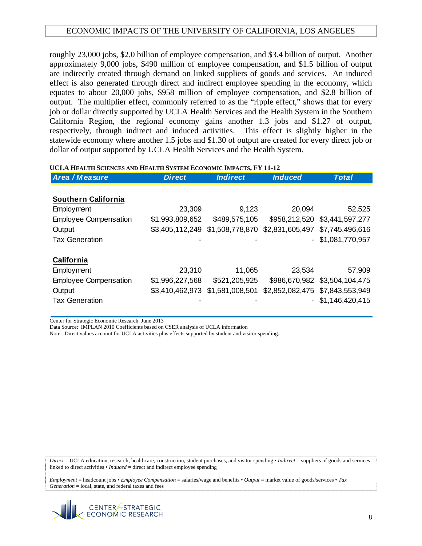roughly 23,000 jobs, \$2.0 billion of employee compensation, and \$3.4 billion of output. Another approximately 9,000 jobs, \$490 million of employee compensation, and \$1.5 billion of output are indirectly created through demand on linked suppliers of goods and services. An induced effect is also generated through direct and indirect employee spending in the economy, which equates to about 20,000 jobs, \$958 million of employee compensation, and \$2.8 billion of output. The multiplier effect, commonly referred to as the "ripple effect," shows that for every job or dollar directly supported by UCLA Health Services and the Health System in the Southern California Region, the regional economy gains another 1.3 jobs and \$1.27 of output, respectively, through indirect and induced activities. This effect is slightly higher in the statewide economy where another 1.5 jobs and \$1.30 of output are created for every direct job or dollar of output supported by UCLA Health Services and the Health System.

| Area / Measure               | <b>Direct</b>   | <b>Indirect</b>                 | <b>Induced</b>  | <b>Total</b>                    |
|------------------------------|-----------------|---------------------------------|-----------------|---------------------------------|
|                              |                 |                                 |                 |                                 |
| <b>Southern California</b>   |                 |                                 |                 |                                 |
| <b>Employment</b>            | 23,309          | 9,123                           | 20,094          | 52,525                          |
| <b>Employee Compensation</b> | \$1,993,809,652 | \$489,575,105                   |                 | \$958,212,520 \$3,441,597,277   |
| Output                       |                 | \$3,405,112,249 \$1,508,778,870 | \$2,831,605,497 | \$7,745,496,616                 |
| <b>Tax Generation</b>        |                 |                                 |                 | $-$ \$1,081,770,957             |
| <b>California</b>            |                 |                                 |                 |                                 |
| Employment                   | 23,310          | 11,065                          | 23,534          | 57,909                          |
| <b>Employee Compensation</b> | \$1,996,227,568 | \$521,205,925                   |                 | \$986,670,982 \$3,504,104,475   |
| Output                       | \$3,410,462,973 | \$1,581,008,501                 |                 | \$2,852,082,475 \$7,843,553,949 |
| <b>Tax Generation</b>        |                 |                                 |                 | $-$ \$1,146,420,415             |

#### **UCLA HEALTH SCIENCES AND HEALTH SYSTEM ECONOMIC IMPACTS, FY 11-12**

Center for Strategic Economic Research, June 2013

Data Source: IMPLAN 2010 Coefficients based on CSER analysis of UCLA information

Note: Direct values account for UCLA activities plus effects supported by student and visitor spending.

*Direct* = UCLA education, research, healthcare, construction, student purchases, and visitor spending • *Indirect* = suppliers of goods and services linked to direct activities • *Induced* = direct and indirect employee spending

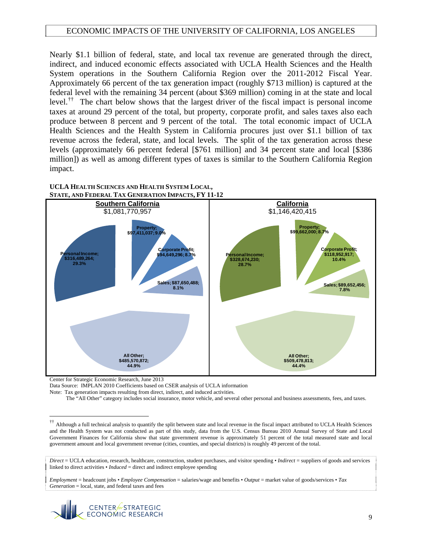Nearly \$1.1 billion of federal, state, and local tax revenue are generated through the direct, indirect, and induced economic effects associated with UCLA Health Sciences and the Health System operations in the Southern California Region over the 2011-2012 Fiscal Year. Approximately 66 percent of the tax generation impact (roughly \$713 million) is captured at the federal level with the remaining 34 percent (about \$369 million) coming in at the state and local level.[††](#page-9-0) The chart below shows that the largest driver of the fiscal impact is personal income taxes at around 29 percent of the total, but property, corporate profit, and sales taxes also each produce between 8 percent and 9 percent of the total. The total economic impact of UCLA Health Sciences and the Health System in California procures just over \$1.1 billion of tax revenue across the federal, state, and local levels. The split of the tax generation across these levels (approximately 66 percent federal [\$761 million] and 34 percent state and local [\$386 million]) as well as among different types of taxes is similar to the Southern California Region impact.





Center for Strategic Economic Research, June 2013

 $\overline{a}$ 

Data Source: IMPLAN 2010 Coefficients based on CSER analysis of UCLA information

Note: Tax generation impacts resulting from direct, indirect, and induced activities.

The "All Other" category includes social insurance, motor vehicle, and several other personal and business assessments, fees, and taxes.



<span id="page-9-0"></span><sup>&</sup>lt;sup>††</sup> Although a full technical analysis to quantify the split between state and local revenue in the fiscal impact attributed to UCLA Health Sciences and the Health System was not conducted as part of this study, data from the U.S. Census Bureau 2010 Annual Survey of State and Local Government Finances for California show that state government revenue is approximately 51 percent of the total measured state and local government amount and local government revenue (cities, counties, and special districts) is roughly 49 percent of the total.

*Direct* = UCLA education, research, healthcare, construction, student purchases, and visitor spending • *Indirect* = suppliers of goods and services linked to direct activities • *Induced* = direct and indirect employee spending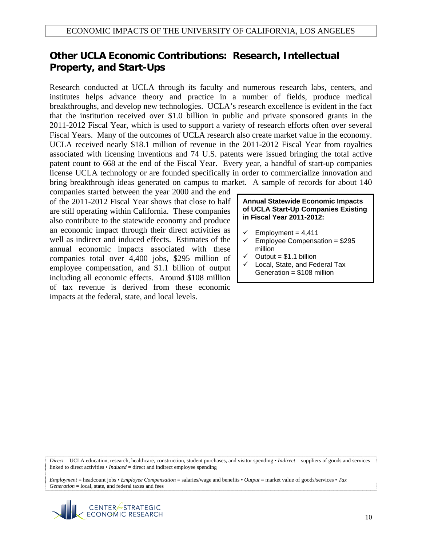### **Other UCLA Economic Contributions: Research, Intellectual Property, and Start-Ups**

Research conducted at UCLA through its faculty and numerous research labs, centers, and institutes helps advance theory and practice in a number of fields, produce medical breakthroughs, and develop new technologies. UCLA's research excellence is evident in the fact that the institution received over \$1.0 billion in public and private sponsored grants in the 2011-2012 Fiscal Year, which is used to support a variety of research efforts often over several Fiscal Years. Many of the outcomes of UCLA research also create market value in the economy. UCLA received nearly \$18.1 million of revenue in the 2011-2012 Fiscal Year from royalties associated with licensing inventions and 74 U.S. patents were issued bringing the total active patent count to 668 at the end of the Fiscal Year. Every year, a handful of start-up companies license UCLA technology or are founded specifically in order to commercialize innovation and bring breakthrough ideas generated on campus to market. A sample of records for about 140

companies started between the year 2000 and the end of the 2011-2012 Fiscal Year shows that close to half are still operating within California. These companies also contribute to the statewide economy and produce an economic impact through their direct activities as well as indirect and induced effects. Estimates of the annual economic impacts associated with these companies total over 4,400 jobs, \$295 million of employee compensation, and \$1.1 billion of output including all economic effects. Around \$108 million of tax revenue is derived from these economic impacts at the federal, state, and local levels.

#### **Annual Statewide Economic Impacts of UCLA Start-Up Companies Existing in Fiscal Year 2011-2012:**

- $\checkmark$  Employment = 4,411
- $\checkmark$  Employee Compensation = \$295 million
- $\checkmark$  Output = \$1.1 billion
- $\checkmark$  Local, State, and Federal Tax Generation = \$108 million

*Direct* = UCLA education, research, healthcare, construction, student purchases, and visitor spending • *Indirect* = suppliers of goods and services linked to direct activities • *Induced* = direct and indirect employee spending

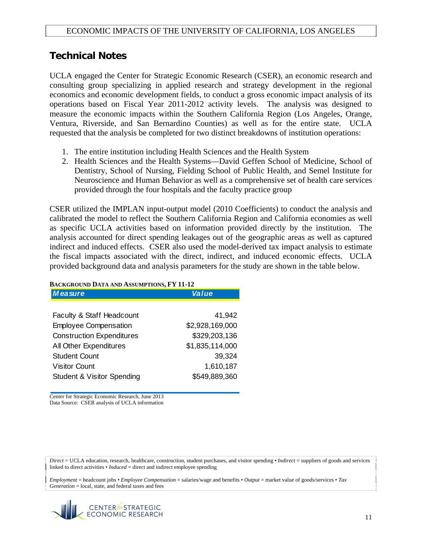### **Technical Notes**

UCLA engaged the Center for Strategic Economic Research (CSER), an economic research and consulting group specializing in applied research and strategy development in the regional economics and economic development fields, to conduct a gross economic impact analysis of its operations based on Fiscal Year 2011-2012 activity levels. The analysis was designed to measure the economic impacts within the Southern California Region (Los Angeles, Orange, Ventura, Riverside, and San Bernardino Counties) as well as for the entire state. UCLA requested that the analysis be completed for two distinct breakdowns of institution operations:

- 1. The entire institution including Health Sciences and the Health System
- 2. Health Sciences and the Health Systems—David Geffen School of Medicine, School of Dentistry, School of Nursing, Fielding School of Public Health, and Semel Institute for Neuroscience and Human Behavior as well as a comprehensive set of health care services provided through the four hospitals and the faculty practice group

CSER utilized the IMPLAN input-output model (2010 Coefficients) to conduct the analysis and calibrated the model to reflect the Southern California Region and California economies as well as specific UCLA activities based on information provided directly by the institution. The analysis accounted for direct spending leakages out of the geographic areas as well as captured indirect and induced effects. CSER also used the model-derived tax impact analysis to estimate the fiscal impacts associated with the direct, indirect, and induced economic effects. UCLA provided background data and analysis parameters for the study are shown in the table below.

| <b>Measure</b>                        | Value           |  |  |
|---------------------------------------|-----------------|--|--|
|                                       |                 |  |  |
| Faculty & Staff Headcount             | 41,942          |  |  |
| <b>Employee Compensation</b>          | \$2,928,169,000 |  |  |
| <b>Construction Expenditures</b>      | \$329,203,136   |  |  |
| All Other Expenditures                | \$1,835,114,000 |  |  |
| <b>Student Count</b>                  | 39,324          |  |  |
| <b>Visitor Count</b>                  | 1,610,187       |  |  |
| <b>Student &amp; Visitor Spending</b> | \$549,889,360   |  |  |

#### **BACKGROUND DATA AND ASSUMPTIONS, FY 11-12**

Center for Strategic Economic Research, June 2013 Data Source: CSER analysis of UCLA information

*Direct* = UCLA education, research, healthcare, construction, student purchases, and visitor spending • *Indirect* = suppliers of goods and services linked to direct activities • *Induced* = direct and indirect employee spending